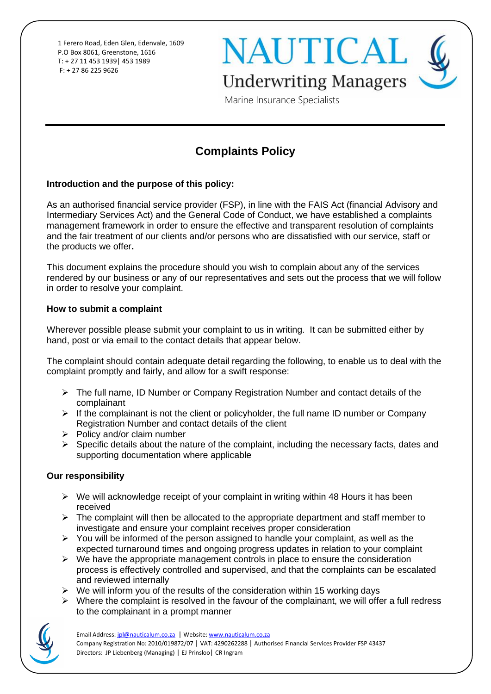1 Ferero Road, Eden Glen, Edenvale, 1609 P.O Box 8061, Greenstone, 1616 T: + 27 11 453 1939| 453 1989 F: + 27 86 225 9626

**NAUTICAL Underwriting Managers** 

Marine Insurance Specialists

# **Complaints Policy**

#### **Introduction and the purpose of this policy:**

As an authorised financial service provider (FSP), in line with the FAIS Act (financial Advisory and Intermediary Services Act) and the General Code of Conduct, we have established a complaints management framework in order to ensure the effective and transparent resolution of complaints and the fair treatment of our clients and/or persons who are dissatisfied with our service, staff or the products we offer**.**

This document explains the procedure should you wish to complain about any of the services rendered by our business or any of our representatives and sets out the process that we will follow in order to resolve your complaint.

#### **How to submit a complaint**

Wherever possible please submit your complaint to us in writing. It can be submitted either by hand, post or via email to the contact details that appear below.

The complaint should contain adequate detail regarding the following, to enable us to deal with the complaint promptly and fairly, and allow for a swift response:

- ➢ The full name, ID Number or Company Registration Number and contact details of the complainant
- $\triangleright$  If the complainant is not the client or policyholder, the full name ID number or Company Registration Number and contact details of the client
- ➢ Policy and/or claim number
- ➢ Specific details about the nature of the complaint, including the necessary facts, dates and supporting documentation where applicable

# **Our responsibility**

- $\triangleright$  We will acknowledge receipt of your complaint in writing within 48 Hours it has been received
- $\triangleright$  The complaint will then be allocated to the appropriate department and staff member to investigate and ensure your complaint receives proper consideration
- $\triangleright$  You will be informed of the person assigned to handle your complaint, as well as the expected turnaround times and ongoing progress updates in relation to your complaint
- $\triangleright$  We have the appropriate management controls in place to ensure the consideration process is effectively controlled and supervised, and that the complaints can be escalated and reviewed internally
- $\triangleright$  We will inform you of the results of the consideration within 15 working days
- $\triangleright$  Where the complaint is resolved in the favour of the complainant, we will offer a full redress to the complainant in a prompt manner

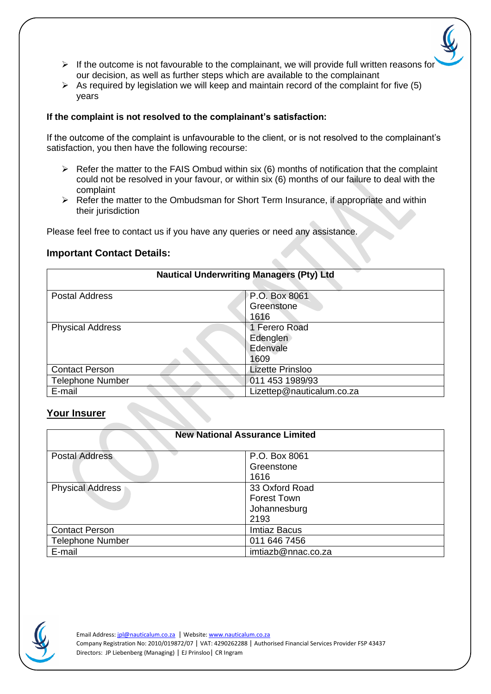- $\triangleright$  If the outcome is not favourable to the complainant, we will provide full written reasons for our decision, as well as further steps which are available to the complainant
- $\triangleright$  As required by legislation we will keep and maintain record of the complaint for five (5) years

#### **If the complaint is not resolved to the complainant's satisfaction:**

If the outcome of the complaint is unfavourable to the client, or is not resolved to the complainant's satisfaction, you then have the following recourse:

- $\triangleright$  Refer the matter to the FAIS Ombud within six (6) months of notification that the complaint could not be resolved in your favour, or within six (6) months of our failure to deal with the complaint
- ➢ Refer the matter to the Ombudsman for Short Term Insurance, if appropriate and within their jurisdiction

Please feel free to contact us if you have any queries or need any assistance.

# **Important Contact Details:**

| <b>Nautical Underwriting Managers (Pty) Ltd</b> |                                               |  |
|-------------------------------------------------|-----------------------------------------------|--|
| <b>Postal Address</b>                           | P.O. Box 8061<br>Greenstone<br>1616           |  |
| <b>Physical Address</b>                         | 1 Ferero Road<br>Edenglen<br>Edenvale<br>1609 |  |
| <b>Contact Person</b>                           | <b>Lizette Prinsloo</b>                       |  |
| <b>Telephone Number</b>                         | 011 453 1989/93                               |  |
| E-mail                                          | Lizettep@nauticalum.co.za                     |  |

# **Your Insurer**

| <b>New National Assurance Limited</b> |                                                       |
|---------------------------------------|-------------------------------------------------------|
| <b>Postal Address</b>                 | P.O. Box 8061<br>Greenstone<br>1616                   |
| <b>Physical Address</b>               | 33 Oxford Road<br>Forest Town<br>Johannesburg<br>2193 |
| <b>Contact Person</b>                 | <b>Imtiaz Bacus</b>                                   |
| <b>Telephone Number</b>               | 011 646 7456                                          |
| E-mail                                | imtiazb@nnac.co.za                                    |

Email Address[: jpl@nauticalum.co.za](mailto:jpl@nauticalum.co.za) | Website[: www.nauticalum.co.za](http://www.nauticalum.co.za/) Company Registration No: 2010/019872/07 | VAT: 4290262288 | Authorised Financial Services Provider FSP 43437 Directors: JP Liebenberg (Managing) | EJ Prinsloo| CR Ingram